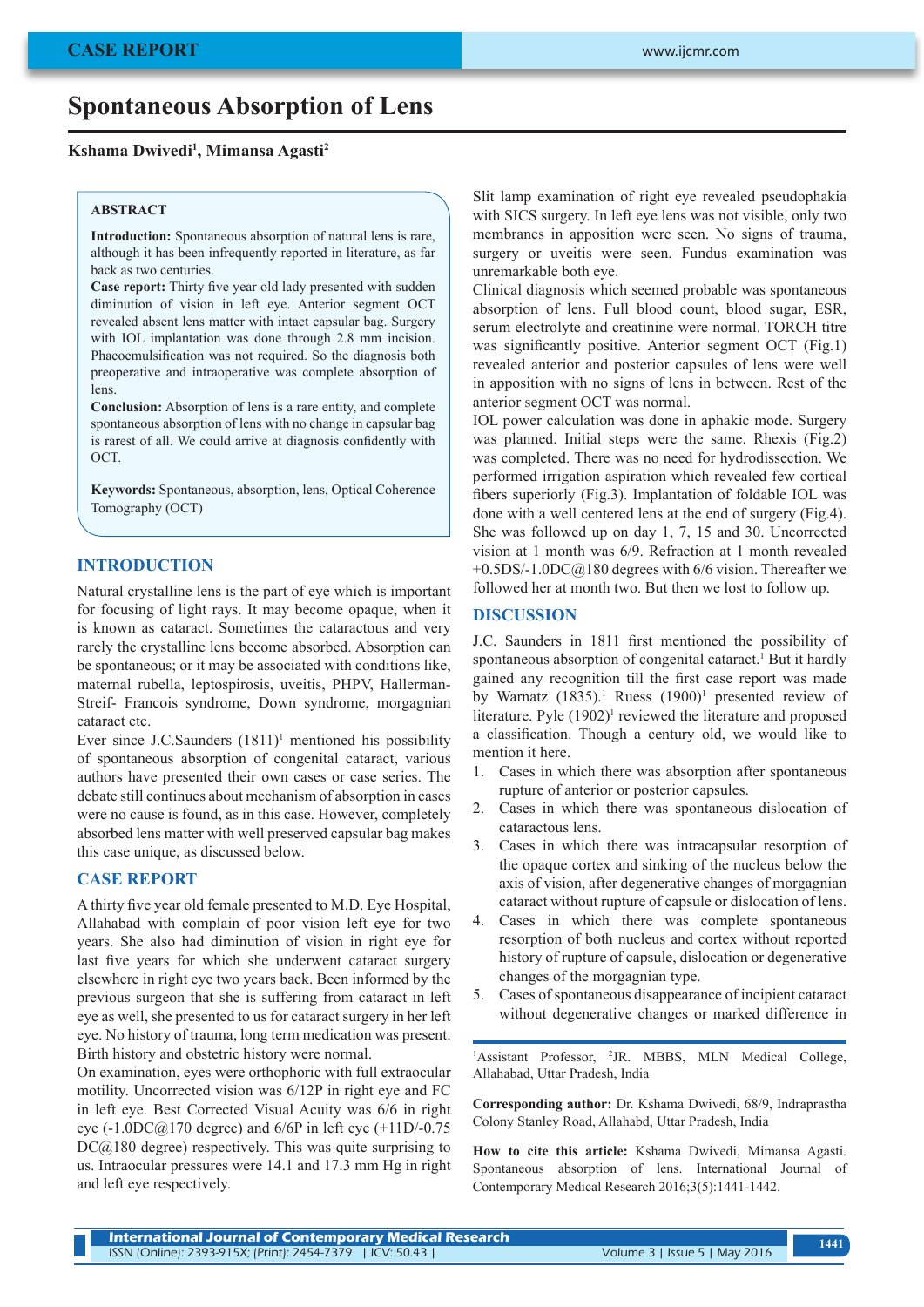# **Spontaneous Absorption of Lens**

#### **Kshama Dwivedi1 , Mimansa Agasti2**

#### **ABSTRACT**

**Introduction:** Spontaneous absorption of natural lens is rare, although it has been infrequently reported in literature, as far back as two centuries.

**Case report:** Thirty five year old lady presented with sudden diminution of vision in left eye. Anterior segment OCT revealed absent lens matter with intact capsular bag. Surgery with IOL implantation was done through 2.8 mm incision. Phacoemulsification was not required. So the diagnosis both preoperative and intraoperative was complete absorption of lens.

**Conclusion:** Absorption of lens is a rare entity, and complete spontaneous absorption of lens with no change in capsular bag is rarest of all. We could arrive at diagnosis confidently with **OCT.** 

**Keywords:** Spontaneous, absorption, lens, Optical Coherence Tomography (OCT)

#### **INTRODUCTION**

Natural crystalline lens is the part of eye which is important for focusing of light rays. It may become opaque, when it is known as cataract. Sometimes the cataractous and very rarely the crystalline lens become absorbed. Absorption can be spontaneous; or it may be associated with conditions like, maternal rubella, leptospirosis, uveitis, PHPV, Hallerman-Streif- Francois syndrome, Down syndrome, morgagnian cataract etc.

Ever since J.C.Saunders  $(1811)^1$  mentioned his possibility of spontaneous absorption of congenital cataract, various authors have presented their own cases or case series. The debate still continues about mechanism of absorption in cases were no cause is found, as in this case. However, completely absorbed lens matter with well preserved capsular bag makes this case unique, as discussed below.

## **CASE REPORT**

A thirty five year old female presented to M.D. Eye Hospital, Allahabad with complain of poor vision left eye for two years. She also had diminution of vision in right eye for last five years for which she underwent cataract surgery elsewhere in right eye two years back. Been informed by the previous surgeon that she is suffering from cataract in left eye as well, she presented to us for cataract surgery in her left eye. No history of trauma, long term medication was present. Birth history and obstetric history were normal.

On examination, eyes were orthophoric with full extraocular motility. Uncorrected vision was 6/12P in right eye and FC in left eye. Best Corrected Visual Acuity was 6/6 in right eye (-1.0DC@170 degree) and 6/6P in left eye (+11D/-0.75  $DC@180$  degree) respectively. This was quite surprising to us. Intraocular pressures were 14.1 and 17.3 mm Hg in right and left eye respectively.

Slit lamp examination of right eye revealed pseudophakia with SICS surgery. In left eye lens was not visible, only two membranes in apposition were seen. No signs of trauma, surgery or uveitis were seen. Fundus examination was unremarkable both eye.

Clinical diagnosis which seemed probable was spontaneous absorption of lens. Full blood count, blood sugar, ESR, serum electrolyte and creatinine were normal. TORCH titre was significantly positive. Anterior segment OCT (Fig.1) revealed anterior and posterior capsules of lens were well in apposition with no signs of lens in between. Rest of the anterior segment OCT was normal.

IOL power calculation was done in aphakic mode. Surgery was planned. Initial steps were the same. Rhexis (Fig.2) was completed. There was no need for hydrodissection. We performed irrigation aspiration which revealed few cortical fibers superiorly (Fig.3). Implantation of foldable IOL was done with a well centered lens at the end of surgery (Fig.4). She was followed up on day 1, 7, 15 and 30. Uncorrected vision at 1 month was 6/9. Refraction at 1 month revealed  $+0.5$ DS/-1.0DC $@180$  degrees with 6/6 vision. Thereafter we followed her at month two. But then we lost to follow up.

#### **DISCUSSION**

J.C. Saunders in 1811 first mentioned the possibility of spontaneous absorption of congenital cataract.<sup>1</sup> But it hardly gained any recognition till the first case report was made by Warnatz  $(1835)^{1}$ . Ruess  $(1900)^{1}$  presented review of literature. Pyle (1902)<sup>1</sup> reviewed the literature and proposed a classification. Though a century old, we would like to mention it here.

- 1. Cases in which there was absorption after spontaneous rupture of anterior or posterior capsules.
- 2. Cases in which there was spontaneous dislocation of cataractous lens.
- 3. Cases in which there was intracapsular resorption of the opaque cortex and sinking of the nucleus below the axis of vision, after degenerative changes of morgagnian cataract without rupture of capsule or dislocation of lens.
- 4. Cases in which there was complete spontaneous resorption of both nucleus and cortex without reported history of rupture of capsule, dislocation or degenerative changes of the morgagnian type.
- 5. Cases of spontaneous disappearance of incipient cataract without degenerative changes or marked difference in

<sup>1</sup>Assistant Professor, <sup>2</sup>JR. MBBS, MLN Medical College, Allahabad, Uttar Pradesh, India

**Corresponding author:** Dr. Kshama Dwivedi, 68/9, Indraprastha Colony Stanley Road, Allahabd, Uttar Pradesh, India

**How to cite this article:** Kshama Dwivedi, Mimansa Agasti. Spontaneous absorption of lens. International Journal of Contemporary Medical Research 2016;3(5):1441-1442.